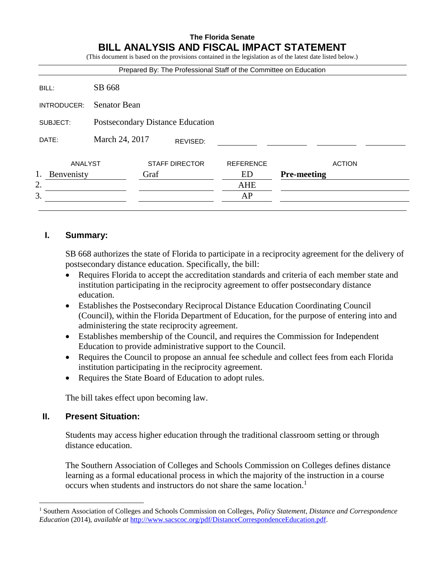# **The Florida Senate BILL ANALYSIS AND FISCAL IMPACT STATEMENT**

(This document is based on the provisions contained in the legislation as of the latest date listed below.)

|             |                                  |      |                       | Prepared By: The Professional Staff of the Committee on Education |                    |               |
|-------------|----------------------------------|------|-----------------------|-------------------------------------------------------------------|--------------------|---------------|
| BILL:       | SB 668                           |      |                       |                                                                   |                    |               |
| INTRODUCER: | <b>Senator Bean</b>              |      |                       |                                                                   |                    |               |
| SUBJECT:    | Postsecondary Distance Education |      |                       |                                                                   |                    |               |
| DATE:       | March 24, 2017<br>REVISED:       |      |                       |                                                                   |                    |               |
| ANALYST     |                                  |      | <b>STAFF DIRECTOR</b> | <b>REFERENCE</b>                                                  |                    | <b>ACTION</b> |
| Benvenisty  |                                  | Graf |                       | ED                                                                | <b>Pre-meeting</b> |               |
| 2.          |                                  |      |                       | <b>AHE</b>                                                        |                    |               |
| 3.          |                                  |      |                       | AP                                                                |                    |               |
|             |                                  |      |                       |                                                                   |                    |               |

### **I. Summary:**

SB 668 authorizes the state of Florida to participate in a reciprocity agreement for the delivery of postsecondary distance education. Specifically, the bill:

- Requires Florida to accept the accreditation standards and criteria of each member state and institution participating in the reciprocity agreement to offer postsecondary distance education.
- Establishes the Postsecondary Reciprocal Distance Education Coordinating Council (Council), within the Florida Department of Education, for the purpose of entering into and administering the state reciprocity agreement.
- Establishes membership of the Council, and requires the Commission for Independent Education to provide administrative support to the Council.
- Requires the Council to propose an annual fee schedule and collect fees from each Florida institution participating in the reciprocity agreement.
- Requires the State Board of Education to adopt rules.

The bill takes effect upon becoming law.

## **II. Present Situation:**

 $\overline{a}$ 

Students may access higher education through the traditional classroom setting or through distance education.

The Southern Association of Colleges and Schools Commission on Colleges defines distance learning as a formal educational process in which the majority of the instruction in a course occurs when students and instructors do not share the same location.<sup>1</sup>

<sup>1</sup> Southern Association of Colleges and Schools Commission on Colleges, *Policy Statement, Distance and Correspondence Education* (2014), *available at* [http://www.sacscoc.org/pdf/DistanceCorrespondenceEducation.pdf.](http://www.sacscoc.org/pdf/DistanceCorrespondenceEducation.pdf)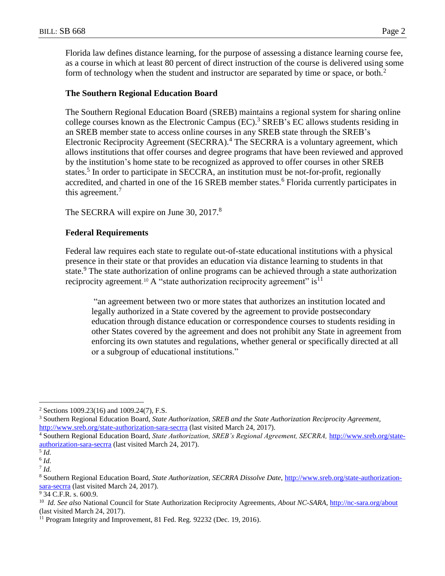Florida law defines distance learning, for the purpose of assessing a distance learning course fee, as a course in which at least 80 percent of direct instruction of the course is delivered using some form of technology when the student and instructor are separated by time or space, or both.<sup>2</sup>

#### **The Southern Regional Education Board**

The Southern Regional Education Board (SREB) maintains a regional system for sharing online college courses known as the Electronic Campus (EC). <sup>3</sup> SREB's EC allows students residing in an SREB member state to access online courses in any SREB state through the SREB's Electronic Reciprocity Agreement (SECRRA).<sup>4</sup> The SECRRA is a voluntary agreement, which allows institutions that offer courses and degree programs that have been reviewed and approved by the institution's home state to be recognized as approved to offer courses in other SREB states.<sup>5</sup> In order to participate in SECCRA, an institution must be not-for-profit, regionally accredited, and charted in one of the 16 SREB member states.<sup>6</sup> Florida currently participates in this agreement.<sup>7</sup>

The SECRRA will expire on June 30, 2017.<sup>8</sup>

#### **Federal Requirements**

Federal law requires each state to regulate out-of-state educational institutions with a physical presence in their state or that provides an education via distance learning to students in that state.<sup>9</sup> The state authorization of online programs can be achieved through a state authorization reciprocity agreement.<sup>10</sup> A "state authorization reciprocity agreement" is<sup>11</sup>

"an agreement between two or more states that authorizes an institution located and legally authorized in a State covered by the agreement to provide postsecondary education through distance education or correspondence courses to students residing in other States covered by the agreement and does not prohibit any State in agreement from enforcing its own statutes and regulations, whether general or specifically directed at all or a subgroup of educational institutions."

 $\overline{a}$ 

<sup>&</sup>lt;sup>2</sup> Sections 1009.23(16) and 1009.24(7), F.S.

<sup>3</sup> Southern Regional Education Board, *State Authorization, SREB and the State Authorization Reciprocity Agreement,*  <http://www.sreb.org/state-authorization-sara-secrra> (last visited March 24, 2017).

<sup>4</sup> Southern Regional Education Board, *State Authorization, SREB's Regional Agreement, SECRRA,* [http://www.sreb.org/state](http://www.sreb.org/state-authorization-sara-secrra)[authorization-sara-secrra](http://www.sreb.org/state-authorization-sara-secrra) (last visited March 24, 2017).

<sup>5</sup> *Id.* 

<sup>6</sup> *Id.* 

<sup>7</sup> *Id.* 

<sup>8</sup> Southern Regional Education Board, *State Authorization, SECRRA Dissolve Date,* [http://www.sreb.org/state-authorization](http://www.sreb.org/state-authorization-sara-secrra)[sara-secrra](http://www.sreb.org/state-authorization-sara-secrra) (last visited March 24, 2017).

<sup>9</sup> 34 C.F.R. s. 600.9.

<sup>10</sup> *Id. See also* National Council for State Authorization Reciprocity Agreements, *About NC-SARA,* <http://nc-sara.org/about> (last visited March 24, 2017).

<sup>&</sup>lt;sup>11</sup> Program Integrity and Improvement, 81 Fed. Reg. 92232 (Dec. 19, 2016).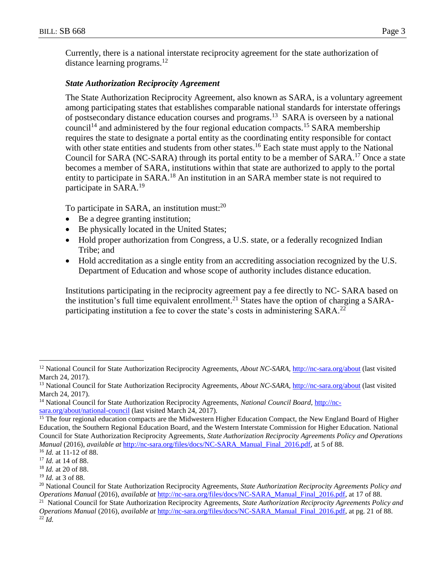Currently, there is a national interstate reciprocity agreement for the state authorization of distance learning programs.<sup>12</sup>

### *State Authorization Reciprocity Agreement*

The State Authorization Reciprocity Agreement, also known as SARA, is a voluntary agreement among participating states that establishes comparable national standards for interstate offerings of postsecondary distance education courses and programs.<sup>13</sup> SARA is overseen by a national council<sup>14</sup> and administered by the four regional education compacts.<sup>15</sup> SARA membership requires the state to designate a portal entity as the coordinating entity responsible for contact with other state entities and students from other states.<sup>16</sup> Each state must apply to the National Council for SARA (NC-SARA) through its portal entity to be a member of SARA.<sup>17</sup> Once a state becomes a member of SARA, institutions within that state are authorized to apply to the portal entity to participate in SARA.<sup>18</sup> An institution in an SARA member state is not required to participate in SARA.<sup>19</sup>

To participate in SARA, an institution must: $^{20}$ 

- Be a degree granting institution;
- Be physically located in the United States;
- Hold proper authorization from Congress, a U.S. state, or a federally recognized Indian Tribe; and
- Hold accreditation as a single entity from an accrediting association recognized by the U.S. Department of Education and whose scope of authority includes distance education.

Institutions participating in the reciprocity agreement pay a fee directly to NC- SARA based on the institution's full time equivalent enrollment.<sup>21</sup> States have the option of charging a SARAparticipating institution a fee to cover the state's costs in administering SARA.<sup>22</sup>

 $\overline{a}$ 

<sup>&</sup>lt;sup>12</sup> National Council for State Authorization Reciprocity Agreements, *About NC-SARA*, <http://nc-sara.org/about> (last visited March 24, 2017).

<sup>13</sup> National Council for State Authorization Reciprocity Agreements, *About NC-SARA,* <http://nc-sara.org/about> (last visited March 24, 2017).

<sup>14</sup> National Council for State Authorization Reciprocity Agreements, *National Council Board,* [http://nc](http://nc-sara.org/about/national-council)[sara.org/about/national-council](http://nc-sara.org/about/national-council) (last visited March 24, 2017).

<sup>&</sup>lt;sup>15</sup> The four regional education compacts are the Midwestern Higher Education Compact, the New England Board of Higher Education, the Southern Regional Education Board, and the Western Interstate Commission for Higher Education. National Council for State Authorization Reciprocity Agreements, *State Authorization Reciprocity Agreements Policy and Operations Manual* (2016), *available at [http://nc-sara.org/files/docs/NC-SARA\\_Manual\\_Final\\_2016.pdf,](http://nc-sara.org/files/docs/NC-SARA_Manual_Final_2016.pdf) at 5 of 88.* <sup>16</sup> *Id.* at 11-12 of 88.

<sup>17</sup> *Id.* at 14 of 88.

<sup>18</sup> *Id.* at 20 of 88.

<sup>19</sup> *Id.* at 3 of 88.

<sup>20</sup> National Council for State Authorization Reciprocity Agreements, *State Authorization Reciprocity Agreements Policy and Operations Manual* (2016), *available at* [http://nc-sara.org/files/docs/NC-SARA\\_Manual\\_Final\\_2016.pdf,](http://nc-sara.org/files/docs/NC-SARA_Manual_Final_2016.pdf) at 17 of 88.

<sup>21</sup> National Council for State Authorization Reciprocity Agreements, *State Authorization Reciprocity Agreements Policy and Operations Manual* (2016), *available at* [http://nc-sara.org/files/docs/NC-SARA\\_Manual\\_Final\\_2016.pdf,](http://nc-sara.org/files/docs/NC-SARA_Manual_Final_2016.pdf) at pg. 21 of 88. <sup>22</sup> *Id.*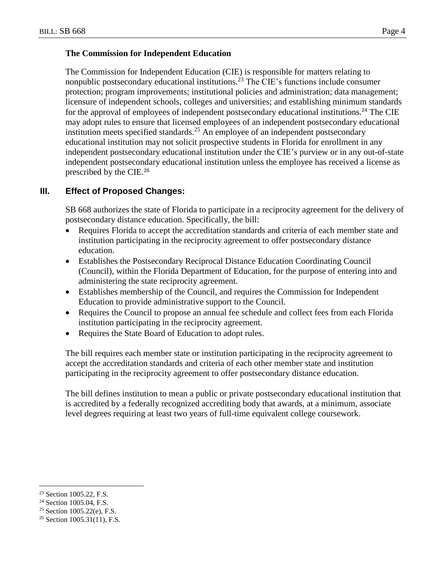#### **The Commission for Independent Education**

The Commission for Independent Education (CIE) is responsible for matters relating to nonpublic postsecondary educational institutions.<sup>23</sup> The CIE's functions include consumer protection; program improvements; institutional policies and administration; data management; licensure of independent schools, colleges and universities; and establishing minimum standards for the approval of employees of independent postsecondary educational institutions.<sup>24</sup> The CIE may adopt rules to ensure that licensed employees of an independent postsecondary educational institution meets specified standards.<sup>25</sup> An employee of an independent postsecondary educational institution may not solicit prospective students in Florida for enrollment in any independent postsecondary educational institution under the CIE's purview or in any out-of-state independent postsecondary educational institution unless the employee has received a license as prescribed by the CIE.<sup>26</sup>

# **III. Effect of Proposed Changes:**

SB 668 authorizes the state of Florida to participate in a reciprocity agreement for the delivery of postsecondary distance education. Specifically, the bill:

- Requires Florida to accept the accreditation standards and criteria of each member state and institution participating in the reciprocity agreement to offer postsecondary distance education.
- Establishes the Postsecondary Reciprocal Distance Education Coordinating Council (Council), within the Florida Department of Education, for the purpose of entering into and administering the state reciprocity agreement.
- Establishes membership of the Council, and requires the Commission for Independent Education to provide administrative support to the Council.
- Requires the Council to propose an annual fee schedule and collect fees from each Florida institution participating in the reciprocity agreement.
- Requires the State Board of Education to adopt rules.

The bill requires each member state or institution participating in the reciprocity agreement to accept the accreditation standards and criteria of each other member state and institution participating in the reciprocity agreement to offer postsecondary distance education.

The bill defines institution to mean a public or private postsecondary educational institution that is accredited by a federally recognized accrediting body that awards, at a minimum, associate level degrees requiring at least two years of full-time equivalent college coursework.

 $\overline{a}$ <sup>23</sup> Section 1005.22, F.S.

<sup>&</sup>lt;sup>24</sup> Section 1005.04, F.S.

<sup>25</sup> Section 1005.22(e), F.S.

 $26$  Section 1005.31(11), F.S.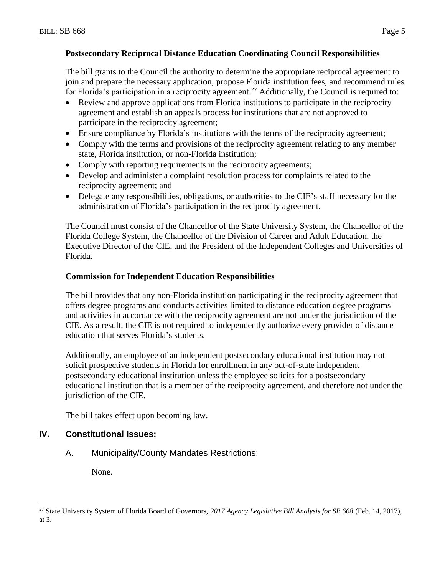### **Postsecondary Reciprocal Distance Education Coordinating Council Responsibilities**

The bill grants to the Council the authority to determine the appropriate reciprocal agreement to join and prepare the necessary application, propose Florida institution fees, and recommend rules for Florida's participation in a reciprocity agreement.<sup>27</sup> Additionally, the Council is required to:

- Review and approve applications from Florida institutions to participate in the reciprocity agreement and establish an appeals process for institutions that are not approved to participate in the reciprocity agreement;
- Ensure compliance by Florida's institutions with the terms of the reciprocity agreement;
- Comply with the terms and provisions of the reciprocity agreement relating to any member state, Florida institution, or non-Florida institution;
- Comply with reporting requirements in the reciprocity agreements;
- Develop and administer a complaint resolution process for complaints related to the reciprocity agreement; and
- Delegate any responsibilities, obligations, or authorities to the CIE's staff necessary for the administration of Florida's participation in the reciprocity agreement.

The Council must consist of the Chancellor of the State University System, the Chancellor of the Florida College System, the Chancellor of the Division of Career and Adult Education, the Executive Director of the CIE, and the President of the Independent Colleges and Universities of Florida.

### **Commission for Independent Education Responsibilities**

The bill provides that any non-Florida institution participating in the reciprocity agreement that offers degree programs and conducts activities limited to distance education degree programs and activities in accordance with the reciprocity agreement are not under the jurisdiction of the CIE. As a result, the CIE is not required to independently authorize every provider of distance education that serves Florida's students.

Additionally, an employee of an independent postsecondary educational institution may not solicit prospective students in Florida for enrollment in any out-of-state independent postsecondary educational institution unless the employee solicits for a postsecondary educational institution that is a member of the reciprocity agreement, and therefore not under the jurisdiction of the CIE.

The bill takes effect upon becoming law.

## **IV. Constitutional Issues:**

A. Municipality/County Mandates Restrictions:

None.

 $\overline{a}$ 

<sup>27</sup> State University System of Florida Board of Governors, *2017 Agency Legislative Bill Analysis for SB 668* (Feb. 14, 2017), at 3.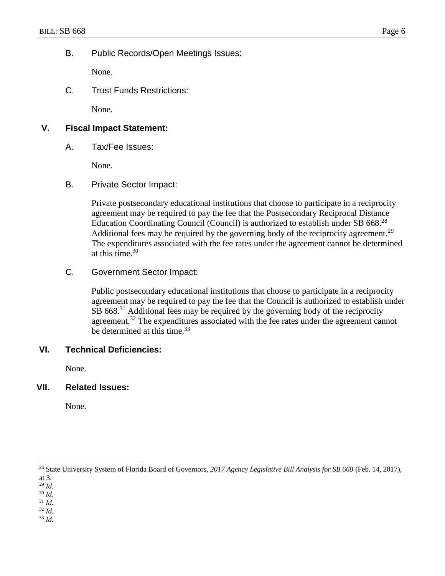B. Public Records/Open Meetings Issues:

None.

C. Trust Funds Restrictions:

None.

# **V. Fiscal Impact Statement:**

A. Tax/Fee Issues:

None.

B. Private Sector Impact:

Private postsecondary educational institutions that choose to participate in a reciprocity agreement may be required to pay the fee that the Postsecondary Reciprocal Distance Education Coordinating Council (Council) is authorized to establish under SB 668.<sup>28</sup> Additional fees may be required by the governing body of the reciprocity agreement.<sup>29</sup> The expenditures associated with the fee rates under the agreement cannot be determined at this time. 30

C. Government Sector Impact:

Public postsecondary educational institutions that choose to participate in a reciprocity agreement may be required to pay the fee that the Council is authorized to establish under SB 668.<sup>31</sup> Additional fees may be required by the governing body of the reciprocity agreement.<sup>32</sup> The expenditures associated with the fee rates under the agreement cannot be determined at this time.<sup>33</sup>

# **VI. Technical Deficiencies:**

None.

#### **VII. Related Issues:**

None.

 $\overline{a}$ 

<sup>29</sup> *Id.* 

- <sup>32</sup> *Id.*
- <sup>33</sup> *Id.*

<sup>28</sup> State University System of Florida Board of Governors, *2017 Agency Legislative Bill Analysis for SB 668* (Feb. 14, 2017),

at 3.

<sup>30</sup> *Id.*  <sup>31</sup> *Id.*